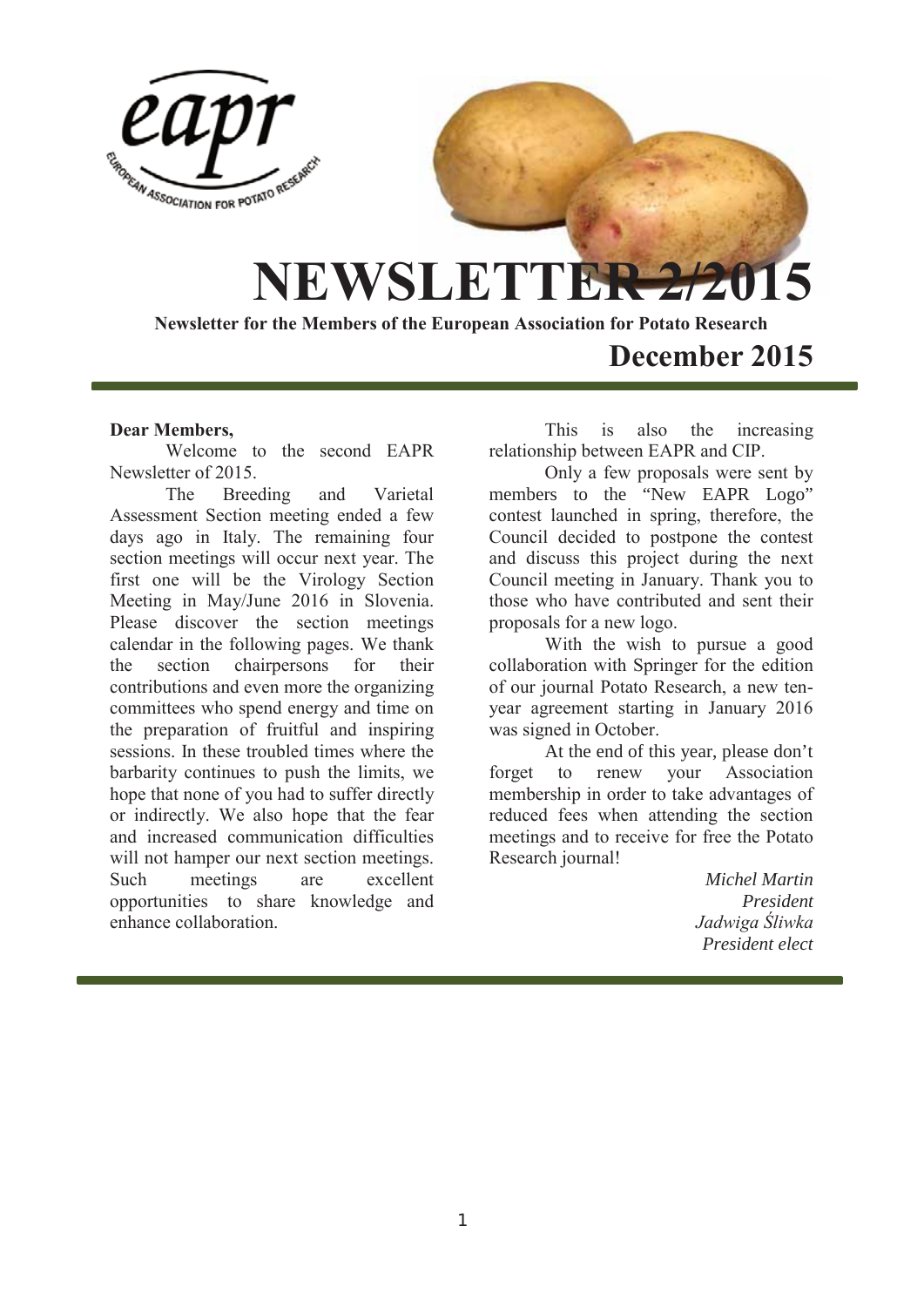

# **December 2015**

## **Dear Members,**

Welcome to the second EAPR Newsletter of 2015.

The Breeding and Varietal Assessment Section meeting ended a few days ago in Italy. The remaining four section meetings will occur next year. The first one will be the Virology Section Meeting in May/June 2016 in Slovenia. Please discover the section meetings calendar in the following pages. We thank the section chairpersons for their contributions and even more the organizing committees who spend energy and time on the preparation of fruitful and inspiring sessions. In these troubled times where the barbarity continues to push the limits, we hope that none of you had to suffer directly or indirectly. We also hope that the fear and increased communication difficulties will not hamper our next section meetings. Such meetings are excellent opportunities to share knowledge and enhance collaboration.

This is also the increasing relationship between EAPR and CIP.

Only a few proposals were sent by members to the "New EAPR Logo" contest launched in spring, therefore, the Council decided to postpone the contest and discuss this project during the next Council meeting in January. Thank you to those who have contributed and sent their proposals for a new logo.

With the wish to pursue a good collaboration with Springer for the edition of our journal Potato Research, a new tenyear agreement starting in January 2016 was signed in October.

At the end of this year, please don't forget to renew your Association membership in order to take advantages of reduced fees when attending the section meetings and to receive for free the Potato Research journal!

> *Michel Martin President Jadwiga Śliwka President elect*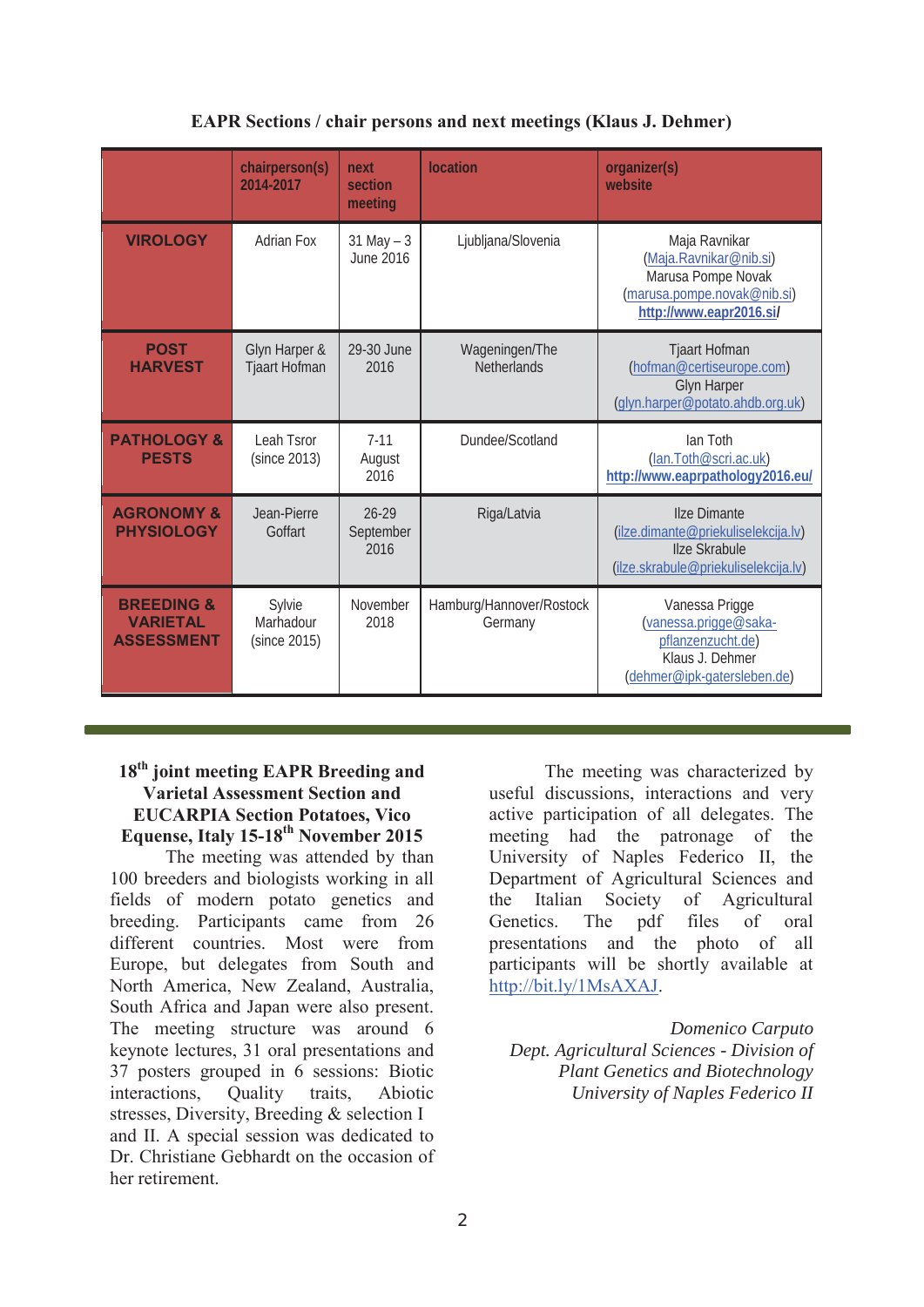# **EAPR Sections / chair persons and next meetings (Klaus J. Dehmer)**

|                                                               | chairperson(s)<br>2014-2017           | next<br>section<br>meeting     | location                             | organizer(s)<br>website                                                                                                    |
|---------------------------------------------------------------|---------------------------------------|--------------------------------|--------------------------------------|----------------------------------------------------------------------------------------------------------------------------|
| <b>VIROLOGY</b>                                               | <b>Adrian Fox</b>                     | $31$ May $-3$<br>June 2016     | Ljubljana/Slovenia                   | Maja Ravnikar<br>(Maja.Ravnikar@nib.si)<br>Marusa Pompe Novak<br>(marusa.pompe.novak@nib.si)<br>http://www.eapr2016.si/    |
| <b>POST</b><br><b>HARVEST</b>                                 | Glyn Harper &<br><b>Tjaart Hofman</b> | 29-30 June<br>2016             | Wageningen/The<br><b>Netherlands</b> | <b>Tjaart Hofman</b><br>(hofman@certiseurope.com)<br><b>Glyn Harper</b><br>(glyn.harper@potato.ahdb.org.uk)                |
| <b>PATHOLOGY &amp;</b><br><b>PESTS</b>                        | Leah Tsror<br>(since 2013)            | $7 - 11$<br>August<br>2016     | Dundee/Scotland                      | Ian Toth<br>(lan.Toth@scri.ac.uk)<br>http://www.eaprpathology2016.eu/                                                      |
| <b>AGRONOMY &amp;</b><br><b>PHYSIOLOGY</b>                    | Jean-Pierre<br>Goffart                | $26 - 29$<br>September<br>2016 | Riga/Latvia                          | <b>Ilze Dimante</b><br>(ilze.dimante@priekuliselekcija.lv)<br><b>Ilze Skrabule</b><br>(ilze.skrabule@priekuliselekcija.lv) |
| <b>BREEDING &amp;</b><br><b>VARIETAL</b><br><b>ASSESSMENT</b> | Sylvie<br>Marhadour<br>(since 2015)   | November<br>2018               | Hamburg/Hannover/Rostock<br>Germany  | Vanessa Prigge<br>(vanessa.prigge@saka-<br>pflanzenzucht.de)<br>Klaus J. Dehmer<br>(dehmer@ipk-gatersleben.de)             |

## **18th joint meeting EAPR Breeding and Varietal Assessment Section and EUCARPIA Section Potatoes, Vico Equense, Italy 15-18th November 2015**

The meeting was attended by than 100 breeders and biologists working in all fields of modern potato genetics and breeding. Participants came from 26 different countries. Most were from Europe, but delegates from South and North America, New Zealand, Australia, South Africa and Japan were also present. The meeting structure was around 6 keynote lectures, 31 oral presentations and 37 posters grouped in 6 sessions: Biotic interactions, Quality traits, Abiotic stresses, Diversity, Breeding & selection I and II. A special session was dedicated to Dr. Christiane Gebhardt on the occasion of her retirement.

 The meeting was characterized by useful discussions, interactions and very active participation of all delegates. The meeting had the patronage of the University of Naples Federico II, the Department of Agricultural Sciences and the Italian Society of Agricultural Genetics. The pdf files of oral presentations and the photo of all participants will be shortly available at http://bit.ly/1MsAXAJ.

*Domenico Carputo Dept. Agricultural Sciences - Division of Plant Genetics and Biotechnology University of Naples Federico II*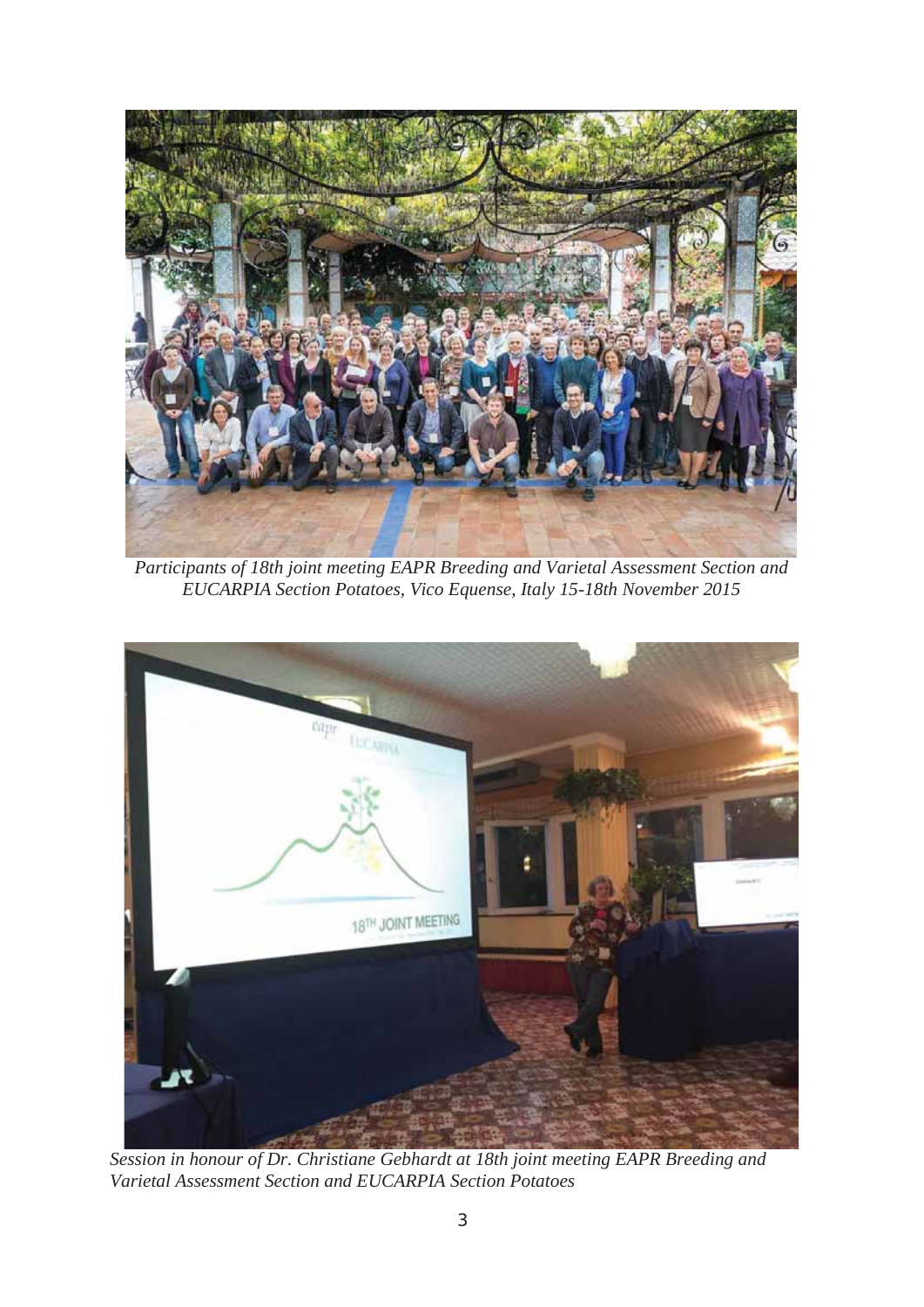

*Participants of 18th joint meeting EAPR Breeding and Varietal Assessment Section and EUCARPIA Section Potatoes, Vico Equense, Italy 15-18th November 2015* 



*Session in honour of Dr. Christiane Gebhardt at 18th joint meeting EAPR Breeding and Varietal Assessment Section and EUCARPIA Section Potatoes*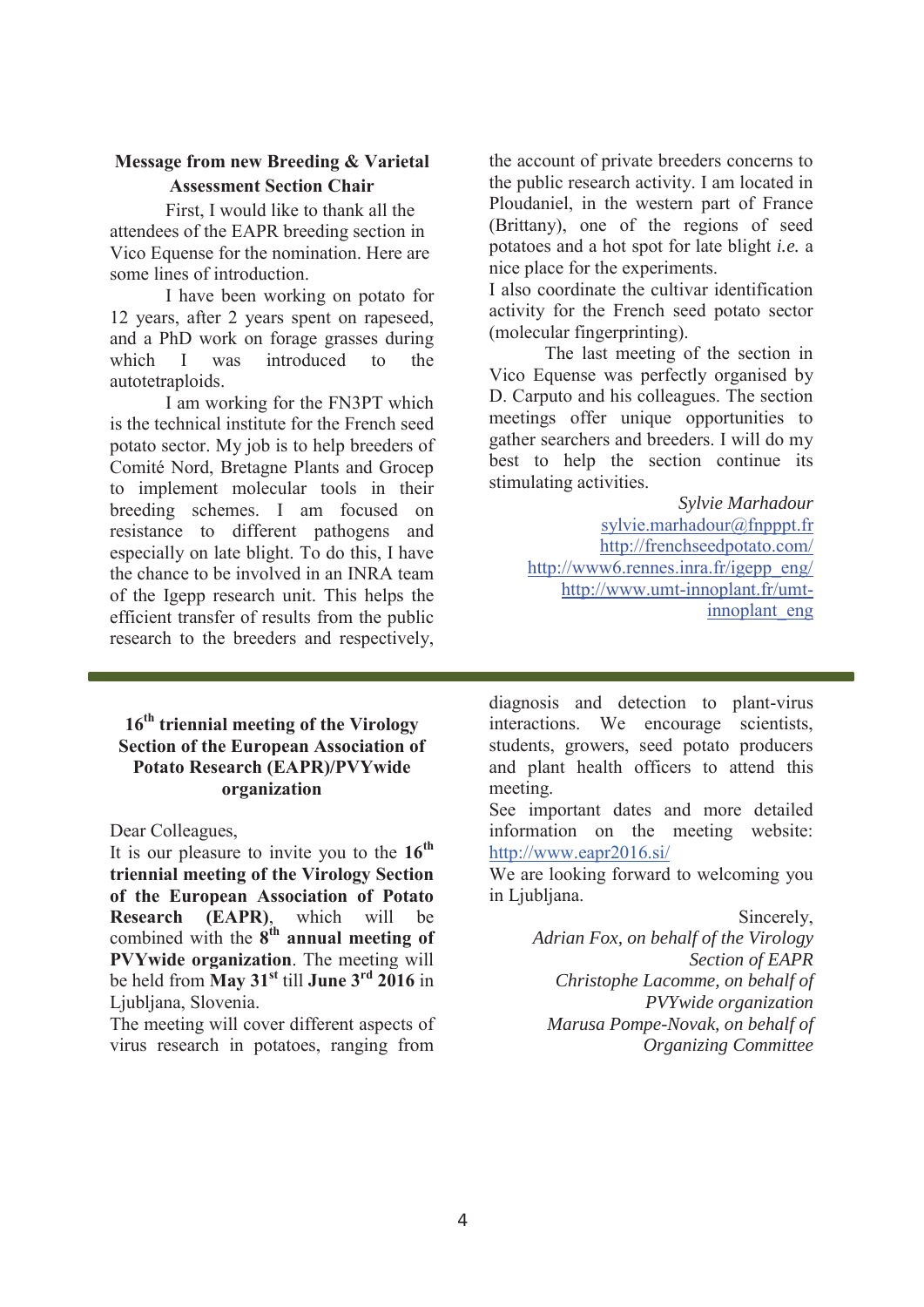## **Message from new Breeding & Varietal Assessment Section Chair**

First, I would like to thank all the attendees of the EAPR breeding section in Vico Equense for the nomination. Here are some lines of introduction.

I have been working on potato for 12 years, after 2 years spent on rapeseed, and a PhD work on forage grasses during which I was introduced to the autotetraploids.

I am working for the FN3PT which is the technical institute for the French seed potato sector. My job is to help breeders of Comité Nord, Bretagne Plants and Grocep to implement molecular tools in their breeding schemes. I am focused on resistance to different pathogens and especially on late blight. To do this, I have the chance to be involved in an INRA team of the Igepp research unit. This helps the efficient transfer of results from the public research to the breeders and respectively,

the account of private breeders concerns to the public research activity. I am located in Ploudaniel, in the western part of France (Brittany), one of the regions of seed potatoes and a hot spot for late blight *i.e.* a nice place for the experiments.

I also coordinate the cultivar identification activity for the French seed potato sector (molecular fingerprinting).

The last meeting of the section in Vico Equense was perfectly organised by D. Carputo and his colleagues. The section meetings offer unique opportunities to gather searchers and breeders. I will do my best to help the section continue its stimulating activities.

> *Sylvie Marhadour*  sylvie.marhadour@fnpppt.fr http://frenchseedpotato.com/ http://www6.rennes.inra.fr/igepp\_eng/ http://www.umt-innoplant.fr/umtinnoplant\_eng

# **16th triennial meeting of the Virology Section of the European Association of Potato Research (EAPR)/PVYwide organization**

Dear Colleagues,

It is our pleasure to invite you to the **16th triennial meeting of the Virology Section of the European Association of Potato Research (EAPR)**, which will be combined with the  $8^{th}$  annual meeting of **PVYwide organization**. The meeting will be held from **May 31st** till **June 3rd 2016** in Ljubliana, Slovenia.

The meeting will cover different aspects of virus research in potatoes, ranging from

diagnosis and detection to plant-virus interactions. We encourage scientists, students, growers, seed potato producers and plant health officers to attend this meeting.

See important dates and more detailed information on the meeting website: http://www.eapr2016.si/

We are looking forward to welcoming you in Ljubljana.

> Sincerely, *Adrian Fox, on behalf of the Virology Section of EAPR Christophe Lacomme, on behalf of PVYwide organization Marusa Pompe-Novak, on behalf of Organizing Committee*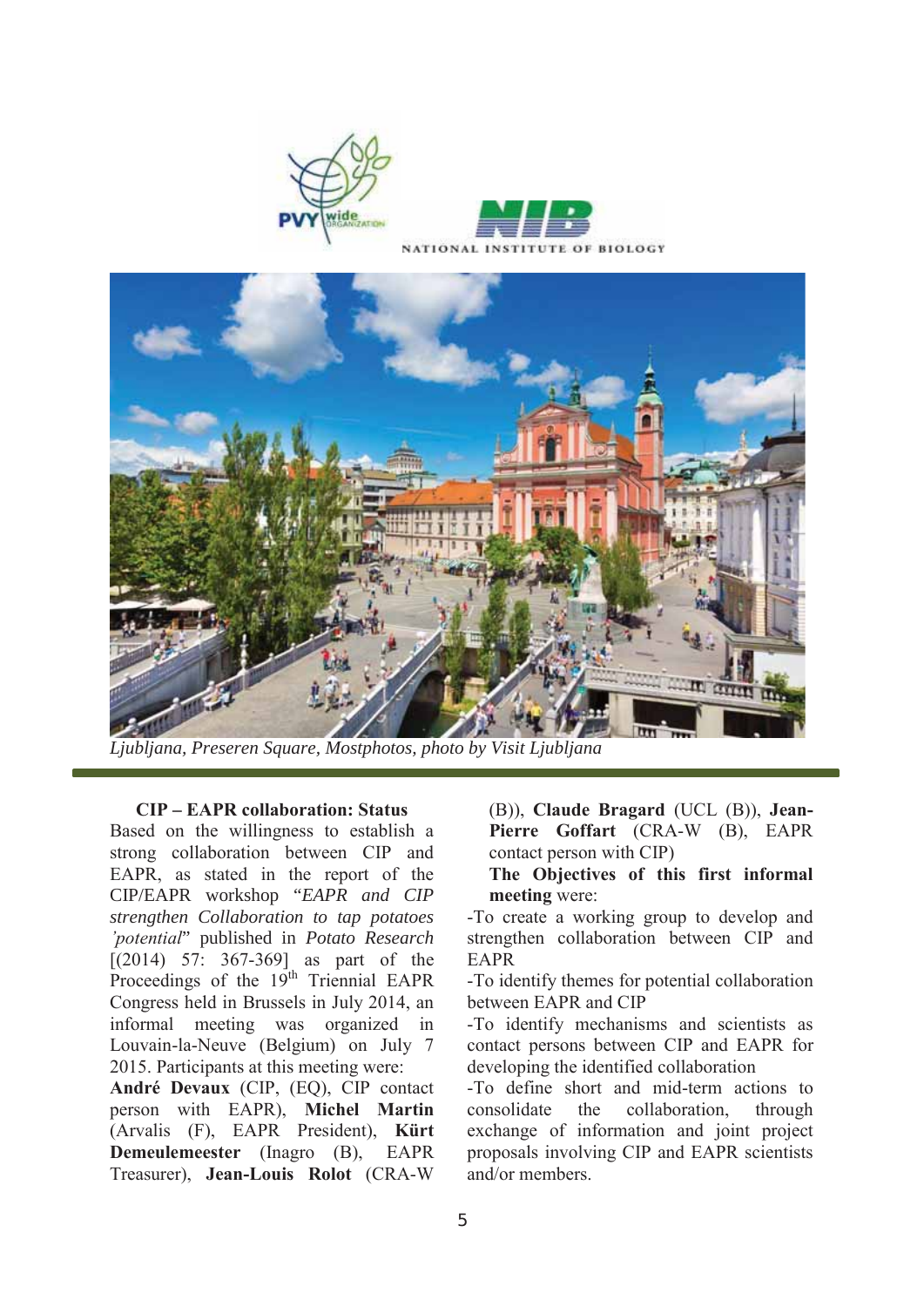



*Ljubljana, Preseren Square, Mostphotos, photo by Visit Ljubljana*

#### **CIP – EAPR collaboration: Status**

Based on the willingness to establish a strong collaboration between CIP and EAPR, as stated in the report of the CIP/EAPR workshop "*EAPR and CIP strengthen Collaboration to tap potatoes 'potential*" published in *Potato Research* [(2014) 57: 367-369] as part of the Proceedings of the 19<sup>th</sup> Triennial EAPR Congress held in Brussels in July 2014, an informal meeting was organized in Louvain-la-Neuve (Belgium) on July 7 2015. Participants at this meeting were:

**André Devaux** (CIP, (EQ), CIP contact person with EAPR), **Michel Martin** (Arvalis (F), EAPR President), **Kürt Demeulemeester** (Inagro (B), EAPR Treasurer), **Jean-Louis Rolot** (CRA-W

(B)), **Claude Bragard** (UCL (B)), **Jean-Pierre Goffart** (CRA-W (B), EAPR contact person with CIP)

## **The Objectives of this first informal meeting** were:

-To create a working group to develop and strengthen collaboration between CIP and EAPR

-To identify themes for potential collaboration between EAPR and CIP

-To identify mechanisms and scientists as contact persons between CIP and EAPR for developing the identified collaboration

-To define short and mid-term actions to consolidate the collaboration, through exchange of information and joint project proposals involving CIP and EAPR scientists and/or members.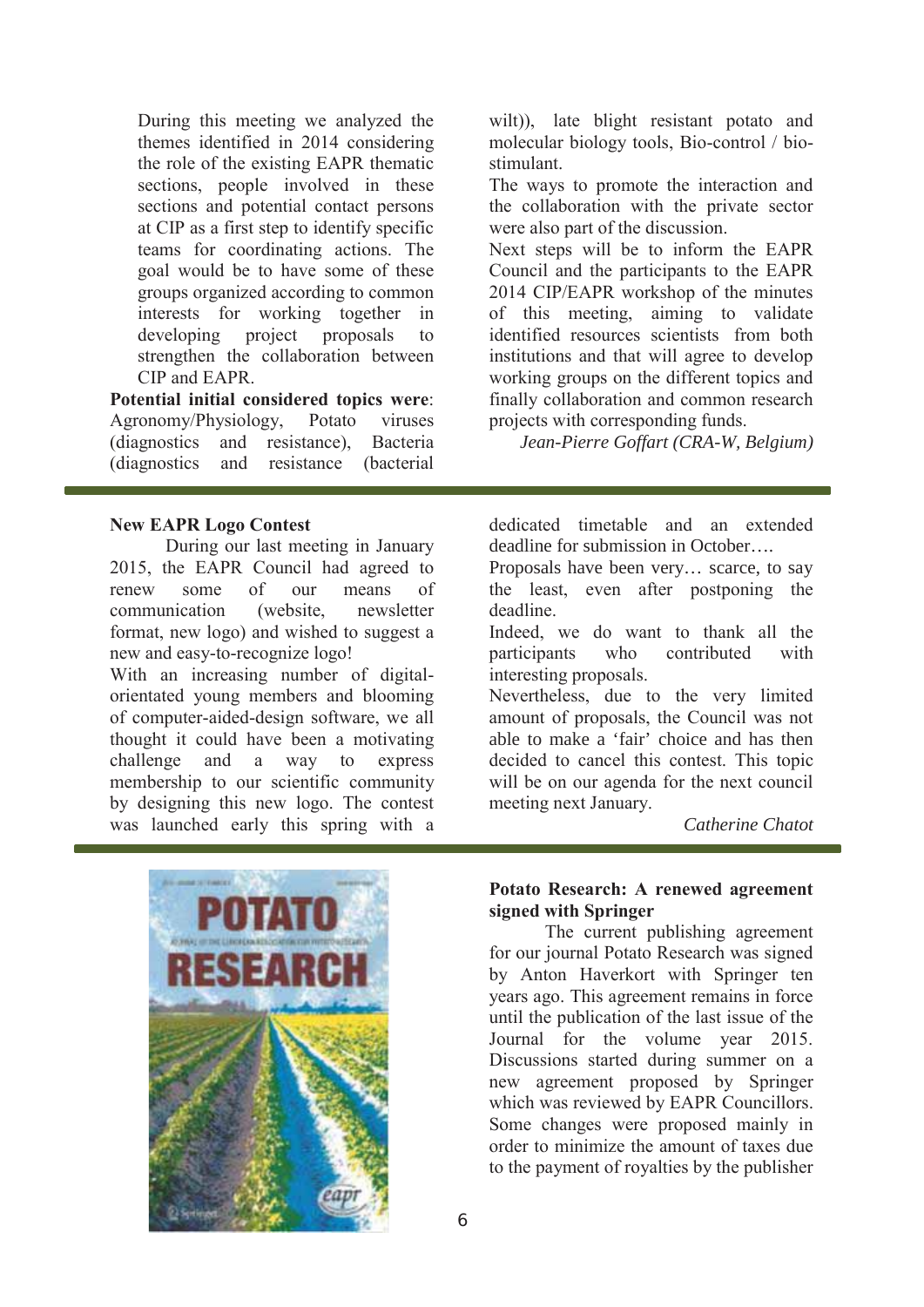During this meeting we analyzed the themes identified in 2014 considering the role of the existing EAPR thematic sections, people involved in these sections and potential contact persons at CIP as a first step to identify specific teams for coordinating actions. The goal would be to have some of these groups organized according to common interests for working together in developing project proposals to strengthen the collaboration between CIP and EAPR.

**Potential initial considered topics were**: Agronomy/Physiology, Potato viruses (diagnostics and resistance), Bacteria (diagnostics and resistance (bacterial

#### **New EAPR Logo Contest**

During our last meeting in January 2015, the EAPR Council had agreed to renew some of our means of communication (website, newsletter format, new logo) and wished to suggest a new and easy-to-recognize logo!

With an increasing number of digitalorientated young members and blooming of computer-aided-design software, we all thought it could have been a motivating challenge and a way to express membership to our scientific community by designing this new logo. The contest was launched early this spring with a



wilt)), late blight resistant potato and molecular biology tools, Bio-control / biostimulant.

The ways to promote the interaction and the collaboration with the private sector were also part of the discussion.

Next steps will be to inform the EAPR Council and the participants to the EAPR 2014 CIP/EAPR workshop of the minutes of this meeting, aiming to validate identified resources scientists from both institutions and that will agree to develop working groups on the different topics and finally collaboration and common research projects with corresponding funds.

*Jean-Pierre Goffart (CRA-W, Belgium)* 

dedicated timetable and an extended deadline for submission in October….

Proposals have been very… scarce, to say the least, even after postponing the deadline.

Indeed, we do want to thank all the participants who contributed with interesting proposals.

Nevertheless, due to the very limited amount of proposals, the Council was not able to make a 'fair' choice and has then decided to cancel this contest. This topic will be on our agenda for the next council meeting next January.

*Catherine Chatot* 

## **Potato Research: A renewed agreement signed with Springer**

The current publishing agreement for our journal Potato Research was signed by Anton Haverkort with Springer ten years ago. This agreement remains in force until the publication of the last issue of the Journal for the volume year 2015. Discussions started during summer on a new agreement proposed by Springer which was reviewed by EAPR Councillors. Some changes were proposed mainly in order to minimize the amount of taxes due to the payment of royalties by the publisher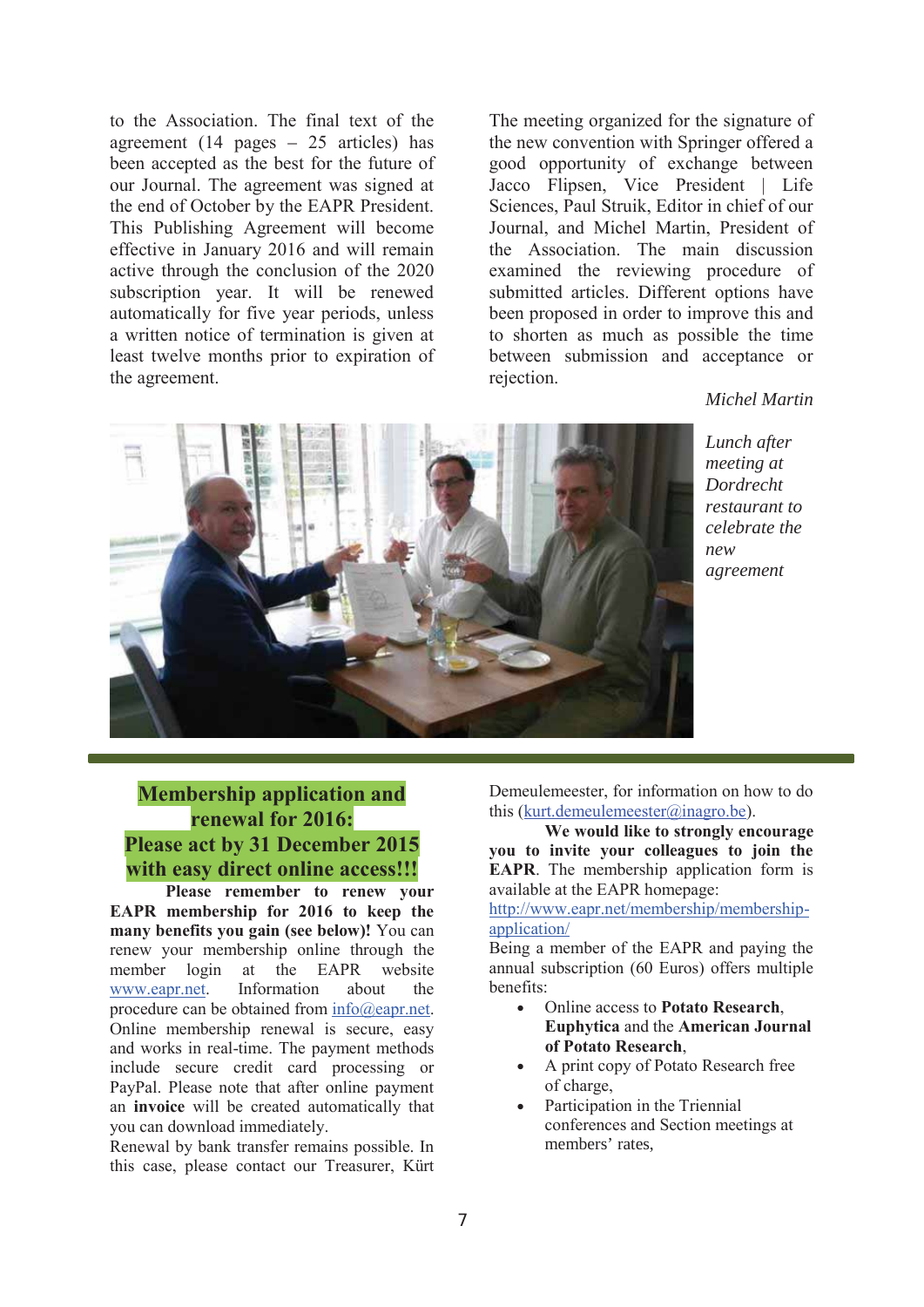to the Association. The final text of the agreement  $(14 \text{ pages} - 25 \text{ articles})$  has been accepted as the best for the future of our Journal. The agreement was signed at the end of October by the EAPR President. This Publishing Agreement will become effective in January 2016 and will remain active through the conclusion of the 2020 subscription year. It will be renewed automatically for five year periods, unless a written notice of termination is given at least twelve months prior to expiration of the agreement.

The meeting organized for the signature of the new convention with Springer offered a good opportunity of exchange between Jacco Flipsen, Vice President | Life Sciences, Paul Struik, Editor in chief of our Journal, and Michel Martin, President of the Association. The main discussion examined the reviewing procedure of submitted articles. Different options have been proposed in order to improve this and to shorten as much as possible the time between submission and acceptance or rejection.

### *Michel Martin*





**Membership application and renewal for 2016: Please act by 31 December 2015 with easy direct online access!!!**

**Please remember to renew your EAPR membership for 2016 to keep the many benefits you gain (see below)!** You can renew your membership online through the member login at the EAPR website www.eapr.net. Information about the procedure can be obtained from info@eapr.net. Online membership renewal is secure, easy and works in real-time. The payment methods include secure credit card processing or PayPal. Please note that after online payment an **invoice** will be created automatically that you can download immediately.

Renewal by bank transfer remains possible. In this case, please contact our Treasurer, Kürt Demeulemeester, for information on how to do this (kurt.demeulemeester@inagro.be).

**We would like to strongly encourage you to invite your colleagues to join the EAPR**. The membership application form is available at the EAPR homepage:

http://www.eapr.net/membership/membershipapplication/

Being a member of the EAPR and paying the annual subscription (60 Euros) offers multiple benefits:

- x Online access to **Potato Research**, **Euphytica** and the **American Journal of Potato Research**,
- A print copy of Potato Research free of charge,
- Participation in the Triennial conferences and Section meetings at members' rates,